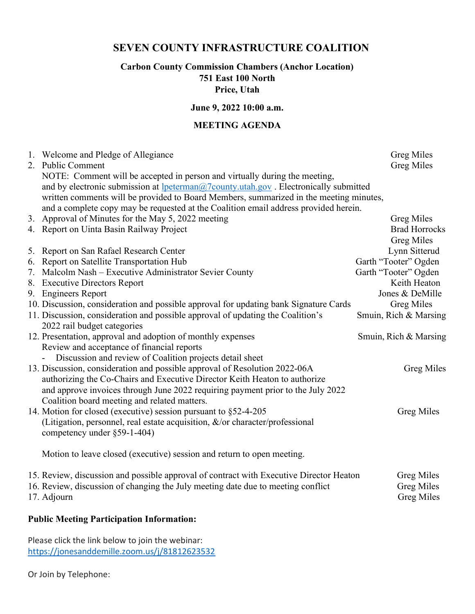# SEVEN COUNTY INFRASTRUCTURE COALITION

## Carbon County Commission Chambers (Anchor Location) 751 East 100 North

Price, Utah

#### June 9, 2022 10:00 a.m.

## MEETING AGENDA

|    | 1. Welcome and Pledge of Allegiance<br>2. Public Comment                                                                                                                                                                                                                                                                                              | <b>Greg Miles</b><br><b>Greg Miles</b>                      |
|----|-------------------------------------------------------------------------------------------------------------------------------------------------------------------------------------------------------------------------------------------------------------------------------------------------------------------------------------------------------|-------------------------------------------------------------|
|    | NOTE: Comment will be accepted in person and virtually during the meeting,<br>and by electronic submission at lpeterman@7county.utah.gov . Electronically submitted<br>written comments will be provided to Board Members, summarized in the meeting minutes,<br>and a complete copy may be requested at the Coalition email address provided herein. |                                                             |
|    | 3. Approval of Minutes for the May 5, 2022 meeting                                                                                                                                                                                                                                                                                                    | <b>Greg Miles</b>                                           |
|    | 4. Report on Uinta Basin Railway Project                                                                                                                                                                                                                                                                                                              | <b>Brad Horrocks</b><br><b>Greg Miles</b>                   |
| 5. | Report on San Rafael Research Center                                                                                                                                                                                                                                                                                                                  | Lynn Sitterud                                               |
| 6. | Report on Satellite Transportation Hub                                                                                                                                                                                                                                                                                                                | Garth "Tooter" Ogden                                        |
| 7. | Malcolm Nash - Executive Administrator Sevier County                                                                                                                                                                                                                                                                                                  | Garth "Tooter" Ogden                                        |
|    | 8. Executive Directors Report                                                                                                                                                                                                                                                                                                                         | Keith Heaton                                                |
|    | 9. Engineers Report                                                                                                                                                                                                                                                                                                                                   | Jones & DeMille                                             |
|    | 10. Discussion, consideration and possible approval for updating bank Signature Cards                                                                                                                                                                                                                                                                 | <b>Greg Miles</b>                                           |
|    | 11. Discussion, consideration and possible approval of updating the Coalition's<br>2022 rail budget categories                                                                                                                                                                                                                                        | Smuin, Rich & Marsing                                       |
|    | 12. Presentation, approval and adoption of monthly expenses                                                                                                                                                                                                                                                                                           | Smuin, Rich & Marsing                                       |
|    | Review and acceptance of financial reports                                                                                                                                                                                                                                                                                                            |                                                             |
|    | Discussion and review of Coalition projects detail sheet                                                                                                                                                                                                                                                                                              |                                                             |
|    | 13. Discussion, consideration and possible approval of Resolution 2022-06A<br>authorizing the Co-Chairs and Executive Director Keith Heaton to authorize                                                                                                                                                                                              | <b>Greg Miles</b>                                           |
|    | and approve invoices through June 2022 requiring payment prior to the July 2022<br>Coalition board meeting and related matters.                                                                                                                                                                                                                       |                                                             |
|    | 14. Motion for closed (executive) session pursuant to §52-4-205                                                                                                                                                                                                                                                                                       | <b>Greg Miles</b>                                           |
|    | (Litigation, personnel, real estate acquisition, &/or character/professional                                                                                                                                                                                                                                                                          |                                                             |
|    | competency under §59-1-404)                                                                                                                                                                                                                                                                                                                           |                                                             |
|    | Motion to leave closed (executive) session and return to open meeting.                                                                                                                                                                                                                                                                                |                                                             |
|    | 15. Review, discussion and possible approval of contract with Executive Director Heaton<br>16. Review, discussion of changing the July meeting date due to meeting conflict<br>17. Adjourn                                                                                                                                                            | <b>Greg Miles</b><br><b>Greg Miles</b><br><b>Greg Miles</b> |

### Public Meeting Participation Information:

Please click the link below to join the webinar: https://jonesanddemille.zoom.us/j/81812623532